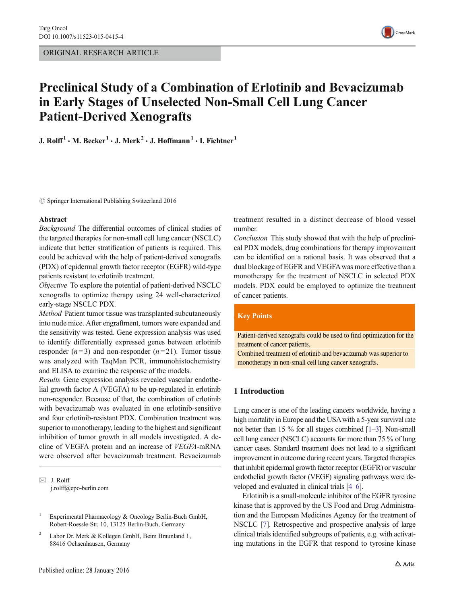

# Preclinical Study of a Combination of Erlotinib and Bevacizumab in Early Stages of Unselected Non-Small Cell Lung Cancer Patient-Derived Xenografts

J. Rolff<sup>1</sup>  $\cdot$  M. Becker<sup>1</sup>  $\cdot$  J. Merk<sup>2</sup>  $\cdot$  J. Hoffmann<sup>1</sup>  $\cdot$  I. Fichtner<sup>1</sup>

 $\oslash$  Springer International Publishing Switzerland 2016

#### Abstract

Background The differential outcomes of clinical studies of the targeted therapies for non-small cell lung cancer (NSCLC) indicate that better stratification of patients is required. This could be achieved with the help of patient-derived xenografts (PDX) of epidermal growth factor receptor (EGFR) wild-type patients resistant to erlotinib treatment.

Objective To explore the potential of patient-derived NSCLC xenografts to optimize therapy using 24 well-characterized early-stage NSCLC PDX.

Method Patient tumor tissue was transplanted subcutaneously into nude mice. After engraftment, tumors were expanded and the sensitivity was tested. Gene expression analysis was used to identify differentially expressed genes between erlotinib responder  $(n=3)$  and non-responder  $(n=21)$ . Tumor tissue was analyzed with TaqMan PCR, immunohistochemistry and ELISA to examine the response of the models.

Results Gene expression analysis revealed vascular endothelial growth factor A (VEGFA) to be up-regulated in erlotinib non-responder. Because of that, the combination of erlotinib with bevacizumab was evaluated in one erlotinib-sensitive and four erlotinib-resistant PDX. Combination treatment was superior to monotherapy, leading to the highest and significant inhibition of tumor growth in all models investigated. A decline of VEGFA protein and an increase of VEGFA-mRNA were observed after bevacizumab treatment. Bevacizumab

 $\boxtimes$  J. Rolff j.rolff@epo-berlin.com treatment resulted in a distinct decrease of blood vessel number.

Conclusion This study showed that with the help of preclinical PDX models, drug combinations for therapy improvement can be identified on a rational basis. It was observed that a dual blockage of EGFR and VEGFAwas more effective than a monotherapy for the treatment of NSCLC in selected PDX models. PDX could be employed to optimize the treatment of cancer patients.

#### **Key Points**

Patient-derived xenografts could be used to find optimization for the treatment of cancer patients.

Combined treatment of erlotinib and bevacizumab was superior to monotherapy in non-small cell lung cancer xenografts.

# 1 Introduction

Lung cancer is one of the leading cancers worldwide, having a high mortality in Europe and the USA with a 5-year survival rate not better than 15 % for all stages combined [\[1](#page-6-0)–[3](#page-6-0)]. Non-small cell lung cancer (NSCLC) accounts for more than 75 % of lung cancer cases. Standard treatment does not lead to a significant improvement in outcome during recent years. Targeted therapies that inhibit epidermal growth factor receptor (EGFR) or vascular endothelial growth factor (VEGF) signaling pathways were developed and evaluated in clinical trials [\[4](#page-6-0)–[6](#page-6-0)].

Erlotinib is a small-molecule inhibitor of the EGFR tyrosine kinase that is approved by the US Food and Drug Administration and the European Medicines Agency for the treatment of NSCLC [\[7](#page-6-0)]. Retrospective and prospective analysis of large clinical trials identified subgroups of patients, e.g. with activating mutations in the EGFR that respond to tyrosine kinase

Experimental Pharmacology & Oncology Berlin-Buch GmbH, Robert-Roessle-Str. 10, 13125 Berlin-Buch, Germany

<sup>2</sup> Labor Dr. Merk & Kollegen GmbH, Beim Braunland 1, 88416 Ochsenhausen, Germany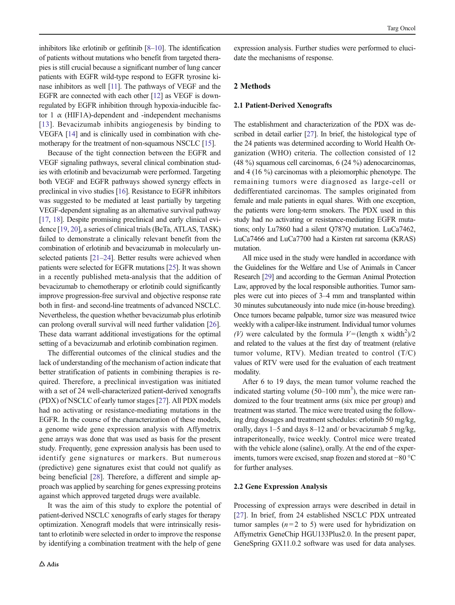inhibitors like erlotinib or gefitinib [\[8](#page-6-0)–[10\]](#page-6-0). The identification of patients without mutations who benefit from targeted therapies is still crucial because a significant number of lung cancer patients with EGFR wild-type respond to EGFR tyrosine kinase inhibitors as well [[11](#page-6-0)]. The pathways of VEGF and the EGFR are connected with each other [[12](#page-6-0)] as VEGF is downregulated by EGFR inhibition through hypoxia-inducible factor 1  $\alpha$  (HIF1A)-dependent and -independent mechanisms [\[13](#page-6-0)]. Bevacizumab inhibits angiogenesis by binding to VEGFA [\[14\]](#page-6-0) and is clinically used in combination with chemotherapy for the treatment of non-squamous NSCLC [[15](#page-6-0)].

Because of the tight connection between the EGFR and VEGF signaling pathways, several clinical combination studies with erlotinib and bevacizumab were performed. Targeting both VEGF and EGFR pathways showed synergy effects in preclinical in vivo studies [[16](#page-6-0)]. Resistance to EGFR inhibitors was suggested to be mediated at least partially by targeting VEGF-dependent signaling as an alternative survival pathway [\[17,](#page-6-0) [18\]](#page-6-0). Despite promising preclinical and early clinical evidence [\[19](#page-6-0), [20](#page-6-0)], a series of clinical trials (BeTa, ATLAS, TASK) failed to demonstrate a clinically relevant benefit from the combination of erlotinib and bevacizumab in molecularly un-selected patients [\[21](#page-6-0)–[24](#page-6-0)]. Better results were achieved when patients were selected for EGFR mutations [[25](#page-6-0)]. It was shown in a recently published meta-analysis that the addition of bevacizumab to chemotherapy or erlotinib could significantly improve progression-free survival and objective response rate both in first- and second-line treatments of advanced NSCLC. Nevertheless, the question whether bevacizumab plus erlotinib can prolong overall survival will need further validation [\[26\]](#page-6-0). These data warrant additional investigations for the optimal setting of a bevacizumab and erlotinib combination regimen.

The differential outcomes of the clinical studies and the lack of understanding of the mechanism of action indicate that better stratification of patients in combining therapies is required. Therefore, a preclinical investigation was initiated with a set of 24 well-characterized patient-derived xenografts (PDX) of NSCLC of early tumor stages [[27](#page-6-0)]. All PDX models had no activating or resistance-mediating mutations in the EGFR. In the course of the characterization of these models, a genome wide gene expression analysis with Affymetrix gene arrays was done that was used as basis for the present study. Frequently, gene expression analysis has been used to identify gene signatures or markers. But numerous (predictive) gene signatures exist that could not qualify as being beneficial [\[28](#page-6-0)]. Therefore, a different and simple approach was applied by searching for genes expressing proteins against which approved targeted drugs were available.

It was the aim of this study to explore the potential of patient-derived NSCLC xenografts of early stages for therapy optimization. Xenograft models that were intrinsically resistant to erlotinib were selected in order to improve the response by identifying a combination treatment with the help of gene

expression analysis. Further studies were performed to elucidate the mechanisms of response.

# 2 Methods

### 2.1 Patient-Derived Xenografts

The establishment and characterization of the PDX was described in detail earlier [[27](#page-6-0)]. In brief, the histological type of the 24 patients was determined according to World Health Organization (WHO) criteria. The collection consisted of 12 (48 %) squamous cell carcinomas, 6 (24 %) adenocarcinomas, and 4 (16 %) carcinomas with a pleiomorphic phenotype. The remaining tumors were diagnosed as large-cell or dedifferentiated carcinomas. The samples originated from female and male patients in equal shares. With one exception, the patients were long-term smokers. The PDX used in this study had no activating or resistance-mediating EGFR mutations; only Lu7860 had a silent Q787Q mutation. LuCa7462, LuCa7466 and LuCa7700 had a Kirsten rat sarcoma (KRAS) mutation.

All mice used in the study were handled in accordance with the Guidelines for the Welfare and Use of Animals in Cancer Research [\[29\]](#page-7-0) and according to the German Animal Protection Law, approved by the local responsible authorities. Tumor samples were cut into pieces of 3–4 mm and transplanted within 30 minutes subcutaneously into nude mice (in-house breeding). Once tumors became palpable, tumor size was measured twice weekly with a caliper-like instrument. Individual tumor volumes (V) were calculated by the formula  $V = (length x width<sup>2</sup>)/2$ and related to the values at the first day of treatment (relative tumor volume, RTV). Median treated to control (T/C) values of RTV were used for the evaluation of each treatment modality.

After 6 to 19 days, the mean tumor volume reached the indicated starting volume  $(50-100 \text{ mm}^3)$ , the mice were randomized to the four treatment arms (six mice per group) and treatment was started. The mice were treated using the following drug dosages and treatment schedules: erlotinib 50 mg/kg, orally, days 1–5 and days 8–12 and/ or bevacizumab 5 mg/kg, intraperitoneally, twice weekly. Control mice were treated with the vehicle alone (saline), orally. At the end of the experiments, tumors were excised, snap frozen and stored at −80 °C for further analyses.

#### 2.2 Gene Expression Analysis

Processing of expression arrays were described in detail in [\[27](#page-6-0)]. In brief, from 24 established NSCLC PDX untreated tumor samples  $(n=2 \text{ to } 5)$  were used for hybridization on Affymetrix GeneChip HGU133Plus2.0. In the present paper, GeneSpring GX11.0.2 software was used for data analyses.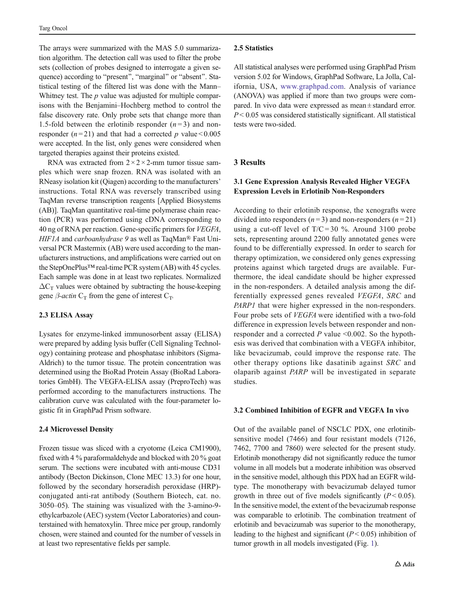The arrays were summarized with the MAS 5.0 summarization algorithm. The detection call was used to filter the probe sets (collection of probes designed to interrogate a given sequence) according to "present", "marginal" or "absent". Statistical testing of the filtered list was done with the Mann– Whitney test. The  $p$  value was adjusted for multiple comparisons with the Benjamini–Hochberg method to control the false discovery rate. Only probe sets that change more than 1.5-fold between the erlotinib responder  $(n=3)$  and nonresponder ( $n = 21$ ) and that had a corrected p value < 0.005 were accepted. In the list, only genes were considered when targeted therapies against their proteins existed.

RNA was extracted from  $2 \times 2 \times 2$ -mm tumor tissue samples which were snap frozen. RNA was isolated with an RNeasy isolation kit (Qiagen) according to the manufacturers' instructions. Total RNA was reversely transcribed using TaqMan reverse transcription reagents [Applied Biosystems (AB)]. TaqMan quantitative real-time polymerase chain reaction (PCR) was performed using cDNA corresponding to 40 ng of RNA per reaction. Gene-specific primers for VEGFA, HIF1A and carboanhydrase 9 as well as TaqMan® Fast Universal PCR Mastermix (AB) were used according to the manufacturers instructions, and amplifications were carried out on the StepOnePlus™real-time PCR system (AB) with 45 cycles. Each sample was done in at least two replicates. Normalized  $\Delta C_T$  values were obtained by subtracting the house-keeping gene  $\beta$ -*actin* C<sub>T</sub> from the gene of interest C<sub>T</sub>.

# 2.3 ELISA Assay

Lysates for enzyme-linked immunosorbent assay (ELISA) were prepared by adding lysis buffer (Cell Signaling Technology) containing protease and phosphatase inhibitors (Sigma-Aldrich) to the tumor tissue. The protein concentration was determined using the BioRad Protein Assay (BioRad Laboratories GmbH). The VEGFA-ELISA assay (PreproTech) was performed according to the manufacturers instructions. The calibration curve was calculated with the four-parameter logistic fit in GraphPad Prism software.

# 2.4 Microvessel Density

Frozen tissue was sliced with a cryotome (Leica CM1900), fixed with 4 % paraformaldehyde and blocked with 20 % goat serum. The sections were incubated with anti-mouse CD31 antibody (Becton Dickinson, Clone MEC 13.3) for one hour, followed by the secondary horseradish peroxidase (HRP) conjugated anti-rat antibody (Southern Biotech, cat. no. 3050–05). The staining was visualized with the 3-amino-9 ethylcarbazole (AEC) system (Vector Laboratories) and counterstained with hematoxylin. Three mice per group, randomly chosen, were stained and counted for the number of vessels in at least two representative fields per sample.

#### 2.5 Statistics

All statistical analyses were performed using GraphPad Prism version 5.02 for Windows, GraphPad Software, La Jolla, California, USA, [www.graphpad.com](http://www.graphpad.com/). Analysis of variance (ANOVA) was applied if more than two groups were compared. In vivo data were expressed as mean ± standard error.  $P < 0.05$  was considered statistically significant. All statistical tests were two-sided.

# 3 Results

# 3.1 Gene Expression Analysis Revealed Higher VEGFA Expression Levels in Erlotinib Non-Responders

According to their erlotinib response, the xenografts were divided into responders  $(n=3)$  and non-responders  $(n=21)$ using a cut-off level of  $T/C = 30$  %. Around 3100 probe sets, representing around 2200 fully annotated genes were found to be differentially expressed. In order to search for therapy optimization, we considered only genes expressing proteins against which targeted drugs are available. Furthermore, the ideal candidate should be higher expressed in the non-responders. A detailed analysis among the differentially expressed genes revealed VEGFA, SRC and PARP1 that were higher expressed in the non-responders. Four probe sets of VEGFA were identified with a two-fold difference in expression levels between responder and nonresponder and a corrected  $P$  value <0.002. So the hypothesis was derived that combination with a VEGFA inhibitor, like bevacizumab, could improve the response rate. The other therapy options like dasatinib against SRC and olaparib against PARP will be investigated in separate studies.

#### 3.2 Combined Inhibition of EGFR and VEGFA In vivo

Out of the available panel of NSCLC PDX, one erlotinibsensitive model (7466) and four resistant models (7126, 7462, 7700 and 7860) were selected for the present study. Erlotinib monotherapy did not significantly reduce the tumor volume in all models but a moderate inhibition was observed in the sensitive model, although this PDX had an EGFR wildtype. The monotherapy with bevacizumab delayed tumor growth in three out of five models significantly  $(P < 0.05)$ . In the sensitive model, the extent of the bevacizumab response was comparable to erlotinib. The combination treatment of erlotinib and bevacizumab was superior to the monotherapy, leading to the highest and significant  $(P < 0.05)$  inhibition of tumor growth in all models investigated (Fig. [1](#page-3-0)).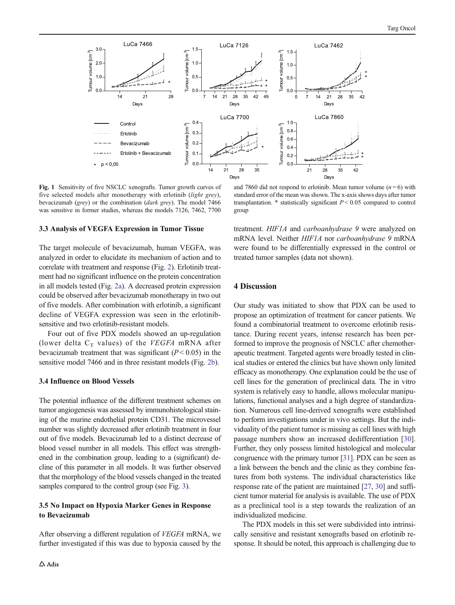<span id="page-3-0"></span>

Fig. 1 Sensitivity of five NSCLC xenografts. Tumor growth curves of five selected models after monotherapy with erlotinib (light grey), bevacizumab (grey) or the combination (dark grey). The model 7466 was sensitive in former studies, whereas the models 7126, 7462, 7700

#### 3.3 Analysis of VEGFA Expression in Tumor Tissue

The target molecule of bevacizumab, human VEGFA, was analyzed in order to elucidate its mechanism of action and to correlate with treatment and response (Fig. [2](#page-4-0)). Erlotinib treatment had no significant influence on the protein concentration in all models tested (Fig. [2a](#page-4-0)). A decreased protein expression could be observed after bevacizumab monotherapy in two out of five models. After combination with erlotinib, a significant decline of VEGFA expression was seen in the erlotinibsensitive and two erlotinib-resistant models.

Four out of five PDX models showed an up-regulation (lower delta  $C_T$  values) of the VEGFA mRNA after bevacizumab treatment that was significant  $(P < 0.05)$  in the sensitive model 7466 and in three resistant models (Fig. [2b](#page-4-0)).

#### 3.4 Influence on Blood Vessels

The potential influence of the different treatment schemes on tumor angiogenesis was assessed by immunohistological staining of the murine endothelial protein CD31. The microvessel number was slightly decreased after erlotinib treatment in four out of five models. Bevacizumab led to a distinct decrease of blood vessel number in all models. This effect was strengthened in the combination group, leading to a (significant) decline of this parameter in all models. It was further observed that the morphology of the blood vessels changed in the treated samples compared to the control group (see Fig. [3](#page-5-0)).

# 3.5 No Impact on Hypoxia Marker Genes in Response to Bevacizumab

After observing a different regulation of VEGFA mRNA, we further investigated if this was due to hypoxia caused by the

and 7860 did not respond to erlotinib. Mean tumor volume  $(n=6)$  with standard error of the mean was shown. The x-axis shows days after tumor transplantation.  $*$  statistically significant  $P < 0.05$  compared to control group

treatment. HIF1A and carboanhydrase 9 were analyzed on mRNA level. Neither HIF1A nor carboanhydrase 9 mRNA were found to be differentially expressed in the control or treated tumor samples (data not shown).

#### 4 Discussion

Our study was initiated to show that PDX can be used to propose an optimization of treatment for cancer patients. We found a combinatorial treatment to overcome erlotinib resistance. During recent years, intense research has been performed to improve the prognosis of NSCLC after chemotherapeutic treatment. Targeted agents were broadly tested in clinical studies or entered the clinics but have shown only limited efficacy as monotherapy. One explanation could be the use of cell lines for the generation of preclinical data. The in vitro system is relatively easy to handle, allows molecular manipulations, functional analyses and a high degree of standardization. Numerous cell line-derived xenografts were established to perform investigations under in vivo settings. But the individuality of the patient tumor is missing as cell lines with high passage numbers show an increased dedifferentiation [[30\]](#page-7-0). Further, they only possess limited histological and molecular congruence with the primary tumor [\[31\]](#page-7-0). PDX can be seen as a link between the bench and the clinic as they combine features from both systems. The individual characteristics like response rate of the patient are maintained [[27](#page-6-0), [30](#page-7-0)] and sufficient tumor material for analysis is available. The use of PDX as a preclinical tool is a step towards the realization of an individualized medicine.

The PDX models in this set were subdivided into intrinsically sensitive and resistant xenografts based on erlotinib response. It should be noted, this approach is challenging due to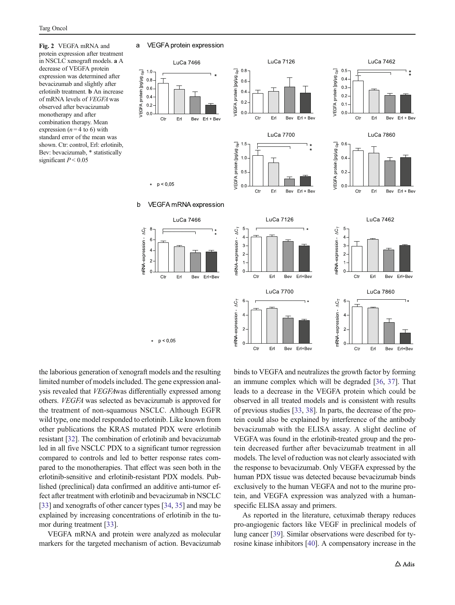<span id="page-4-0"></span>Fig. 2 VEGFA mRNA and protein expression after treatment in NSCLC xenograft models. a A decrease of VEGFA protein expression was determined after bevacizumab and slightly after erlotinib treatment. b An increase of mRNA levels of VEGFA was observed after bevacizumab monotherapy and after combination therapy. Mean expression ( $n = 4$  to 6) with standard error of the mean was shown. Ctr: control, Erl: erlotinib, Bev: bevacizumab, \* statistically significant  $P < 0.05$ 

#### $\mathsf{a}$ VEGFA protein expression



the laborious generation of xenograft models and the resulting limited number of models included. The gene expression analysis revealed that VEGFAwas differentially expressed among others. VEGFA was selected as bevacizumab is approved for the treatment of non-squamous NSCLC. Although EGFR wild type, one model responded to erlotinib. Like known from other publications the KRAS mutated PDX were erlotinib resistant [[32](#page-7-0)]. The combination of erlotinib and bevacizumab led in all five NSCLC PDX to a significant tumor regression compared to controls and led to better response rates compared to the monotherapies. That effect was seen both in the erlotinib-sensitive and erlotinib-resistant PDX models. Published (preclinical) data confirmed an additive anti-tumor effect after treatment with erlotinib and bevacizumab in NSCLC [\[33\]](#page-7-0) and xenografts of other cancer types [[34](#page-7-0), [35\]](#page-7-0) and may be explained by increasing concentrations of erlotinib in the tumor during treatment [\[33](#page-7-0)].

VEGFA mRNA and protein were analyzed as molecular markers for the targeted mechanism of action. Bevacizumab binds to VEGFA and neutralizes the growth factor by forming an immune complex which will be degraded [[36,](#page-7-0) [37](#page-7-0)]. That leads to a decrease in the VEGFA protein which could be observed in all treated models and is consistent with results of previous studies [\[33](#page-7-0), [38](#page-7-0)]. In parts, the decrease of the protein could also be explained by interference of the antibody bevacizumab with the ELISA assay. A slight decline of VEGFA was found in the erlotinib-treated group and the protein decreased further after bevacizumab treatment in all models. The level of reduction was not clearly associated with the response to bevacizumab. Only VEGFA expressed by the human PDX tissue was detected because bevacizumab binds exclusively to the human VEGFA and not to the murine protein, and VEGFA expression was analyzed with a humanspecific ELISA assay and primers.

As reported in the literature, cetuximab therapy reduces pro-angiogenic factors like VEGF in preclinical models of lung cancer [\[39](#page-7-0)]. Similar observations were described for tyrosine kinase inhibitors [[40](#page-7-0)]. A compensatory increase in the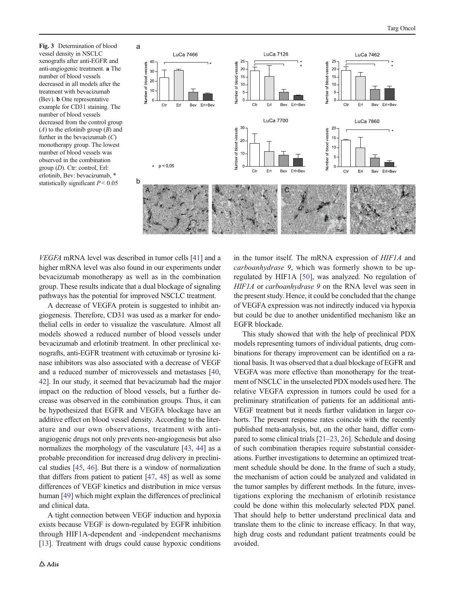<span id="page-5-0"></span>Fig. 3 Determination of blood a vessel density in NSCLC xenografts after anti-EGFR and anti-angiogenic treatment. a The number of blood vessels decreased in all models after the treatment with bevacizumab (Bev). b One representative example for CD31 staining. The number of blood vessels decreased from the control group  $(A)$  to the erlotinib group  $(B)$  and further in the bevacizumab  $(C)$ monotherapy group. The lowest number of blood vessels was observed in the combination group (D). Ctr: control, Erl: erlotinib, Bev: bevacizumab, \* statistically significant  $P < 0.05$ 



VEGFA mRNA level was described in tumor cells [\[41](#page-7-0)] and a higher mRNA level was also found in our experiments under bevacizumab monotherapy as well as in the combination group. These results indicate that a dual blockage of signaling pathways has the potential for improved NSCLC treatment.

A decrease of VEGFA protein is suggested to inhibit angiogenesis. Therefore, CD31 was used as a marker for endothelial cells in order to visualize the vasculature. Almost all models showed a reduced number of blood vessels under bevacizumab and erlotinib treatment. In other preclinical xenografts, anti-EGFR treatment with cetuximab or tyrosine kinase inhibitors was also associated with a decrease of VEGF and a reduced number of microvessels and metastases [[40,](#page-7-0) [42\]](#page-7-0). In our study, it seemed that bevacizumab had the major impact on the reduction of blood vessels, but a further decrease was observed in the combination groups. Thus, it can be hypothesized that EGFR and VEGFA blockage have an additive effect on blood vessel density. According to the literature and our own observations, treatment with antiangiogenic drugs not only prevents neo-angiogenesis but also normalizes the morphology of the vasculature [[43,](#page-7-0) [44](#page-7-0)] as a probable precondition for increased drug delivery in preclinical studies [[45](#page-7-0), [46\]](#page-7-0). But there is a window of normalization that differs from patient to patient [\[47,](#page-7-0) [48\]](#page-7-0) as well as some differences of VEGF kinetics and distribution in mice versus human [\[49\]](#page-7-0) which might explain the differences of preclinical and clinical data.

A tight connection between VEGF induction and hypoxia exists because VEGF is down-regulated by EGFR inhibition through HIF1A-dependent and -independent mechanisms [\[13\]](#page-6-0). Treatment with drugs could cause hypoxic conditions in the tumor itself. The mRNA expression of HIF1A and carboanhydrase 9, which was formerly shown to be upregulated by HIF1A [[50\]](#page-7-0), was analyzed. No regulation of HIF1A or carboanhydrase 9 on the RNA level was seen in the present study. Hence, it could be concluded that the change of VEGFA expression was not indirectly induced via hypoxia but could be due to another unidentified mechanism like an EGFR blockade.

This study showed that with the help of preclinical PDX models representing tumors of individual patients, drug combinations for therapy improvement can be identified on a rational basis. It was observed that a dual blockage of EGFR and VEGFA was more effective than monotherapy for the treatment of NSCLC in the unselected PDX models used here. The relative VEGFA expression in tumors could be used for a preliminary stratification of patients for an additional anti-VEGF treatment but it needs further validation in larger cohorts. The present response rates coincide with the recently published meta-analysis, but, on the other hand, differ compared to some clinical trials [\[21](#page-6-0)–[23,](#page-6-0) [26](#page-6-0)]. Schedule and dosing of such combination therapies require substantial considerations. Further investigations to determine an optimized treatment schedule should be done. In the frame of such a study, the mechanism of action could be analyzed and validated in the tumor samples by different methods. In the future, investigations exploring the mechanism of erlotinib resistance could be done within this molecularly selected PDX panel. That should help to better understand preclinical data and translate them to the clinic to increase efficacy. In that way, high drug costs and redundant patient treatments could be avoided.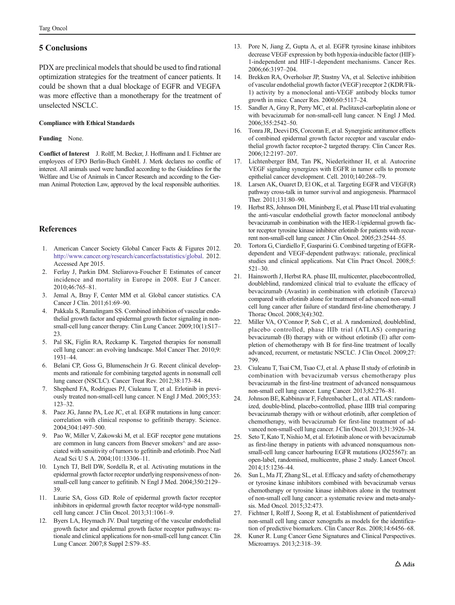# <span id="page-6-0"></span>5 Conclusions

PDX are preclinical models that should be used to find rational optimization strategies for the treatment of cancer patients. It could be shown that a dual blockage of EGFR and VEGFA was more effective than a monotherapy for the treatment of unselected NSCLC.

#### Compliance with Ethical Standards

#### Funding None.

Conflict of Interest J. Rolff, M. Becker, J. Hoffmann and I. Fichtner are employees of EPO Berlin-Buch GmbH. J. Merk declares no conflic of interest. All animals used were handled according to the Guidelines for the Welfare and Use of Animals in Cancer Research and according to the German Animal Protection Law, approved by the local responsible authorities.

# **References**

- 1. American Cancer Society Global Cancer Facts & Figures 2012. http://www.cancer.org/research/cancerfactsstatistics/global. 2012. Accessed Apr 2015.
- 2. Ferlay J, Parkin DM. Steliarova-Foucher E Estimates of cancer incidence and mortality in Europe in 2008. Eur J Cancer. 2010;46:765–81.
- 3. Jemal A, Bray F, Center MM et al. Global cancer statistics. CA Cancer J Clin. 2011;61:69–90.
- 4. Pakkala S, Ramalingam SS. Combined inhibition of vascular endothelial growth factor and epidermal growth factor signaling in nonsmall-cell lung cancer therapy. Clin Lung Cancer. 2009;10(1):S17–  $23$
- 5. Pal SK, Figlin RA, Reckamp K. Targeted therapies for nonsmall cell lung cancer: an evolving landscape. Mol Cancer Ther. 2010;9: 1931–44.
- 6. Belani CP, Goss G, Blumenschein Jr G. Recent clinical developments and rationale for combining targeted agents in nonsmall cell lung cancer (NSCLC). Cancer Treat Rev. 2012;38:173–84.
- Shepherd FA, Rodrigues PJ, Ciuleanu T, et al. Erlotinib in previously treated non-small-cell lung cancer. N Engl J Med. 2005;353: 123–32.
- 8. Paez JG, Janne PA, Lee JC, et al. EGFR mutations in lung cancer: correlation with clinical response to gefitinib therapy. Science. 2004;304:1497–500.
- 9. Pao W, Miller V, Zakowski M, et al. EGF receptor gene mutations are common in lung cancers from Bnever smokers^ and are associated with sensitivity of tumors to gefitinib and erlotinib. Proc Natl Acad Sci U S A. 2004;101:13306–11.
- 10. Lynch TJ, Bell DW, Sordella R, et al. Activating mutations in the epidermal growth factor receptor underlying responsiveness of nonsmall-cell lung cancer to gefitinib. N Engl J Med. 2004;350:2129– 39.
- 11. Laurie SA, Goss GD. Role of epidermal growth factor receptor inhibitors in epidermal growth factor receptor wild-type nonsmallcell lung cancer. J Clin Oncol. 2013;31:1061–9.
- 12. Byers LA, Heymach JV. Dual targeting of the vascular endothelial growth factor and epidermal growth factor receptor pathways: rationale and clinical applications for non-small-cell lung cancer. Clin Lung Cancer. 2007;8 Suppl 2:S79–85.
- 13. Pore N, Jiang Z, Gupta A, et al. EGFR tyrosine kinase inhibitors decrease VEGF expression by both hypoxia-inducible factor (HIF)- 1-independent and HIF-1-dependent mechanisms. Cancer Res. 2006;66:3197–204.
- 14. Brekken RA, Overholser JP, Stastny VA, et al. Selective inhibition of vascular endothelial growth factor (VEGF) receptor 2 (KDR/Flk-1) activity by a monoclonal anti-VEGF antibody blocks tumor growth in mice. Cancer Res. 2000;60:5117–24.
- 15. Sandler A, Gray R, Perry MC, et al. Paclitaxel-carboplatin alone or with bevacizumab for non-small-cell lung cancer. N Engl J Med. 2006;355:2542–50.
- 16. Tonra JR, Deevi DS, Corcoran E, et al. Synergistic antitumor effects of combined epidermal growth factor receptor and vascular endothelial growth factor receptor-2 targeted therapy. Clin Cancer Res. 2006;12:2197–207.
- 17. Lichtenberger BM, Tan PK, Niederleithner H, et al. Autocrine VEGF signaling synergizes with EGFR in tumor cells to promote epithelial cancer development. Cell. 2010;140:268–79.
- 18. Larsen AK, Ouaret D, El OK, et al. Targeting EGFR and VEGF(R) pathway cross-talk in tumor survival and angiogenesis. Pharmacol Ther. 2011;131:80–90.
- 19. Herbst RS, Johnson DH, Mininberg E, et al. Phase I/II trial evaluating the anti-vascular endothelial growth factor monoclonal antibody bevacizumab in combination with the HER-1/epidermal growth factor receptor tyrosine kinase inhibitor erlotinib for patients with recurrent non-small-cell lung cancer. J Clin Oncol. 2005;23:2544–55.
- Tortora G, Ciardiello F, Gasparini G. Combined targeting of EGFRdependent and VEGF-dependent pathways: rationale, preclinical studies and clinical applications. Nat Clin Pract Oncol. 2008;5: 521–30.
- 21. Hainsworth J, Herbst RA. phase III, multicenter, placebocontrolled, doubleblind, randomized clinical trial to evaluate the efficacy of bevacizumab (Avastin) in combination with erlotinib (Tarceva) compared with erlotinib alone for treatment of advanced non-small cell lung cancer after failure of standard first-line chemotherapy. J Thorac Oncol. 2008;3(4):302.
- 22. Miller VA, O'Connor P, Soh C, et al. A randomized, doubleblind, placebo controlled, phase IIIb trial (ATLAS) comparing bevacizumab (B) therapy with or without erlotinib (E) after completion of chemotherapy with B for first-line treatment of locally advanced, recurrent, or metastatic NSCLC. J Clin Oncol. 2009;27: 799.
- 23. Ciuleanu T, Tsai CM, Tsao CJ, et al. A phase II study of erlotinib in combination with bevacizumab versus chemotherapy plus bevacizumab in the first-line treatment of advanced nonsquamous non-small cell lung cancer. Lung Cancer. 2013;82:276–81.
- 24. Johnson BE, Kabbinavar F, Fehrenbacher L, et al. ATLAS: randomized, double-blind, placebo-controlled, phase IIIB trial comparing bevacizumab therapy with or without erlotinib, after completion of chemotherapy, with bevacizumab for first-line treatment of advanced non-small-cell lung cancer. J Clin Oncol. 2013;31:3926–34.
- 25. Seto T, Kato T, Nishio M, et al. Erlotinib alone or with bevacizumab as first-line therapy in patients with advanced nonsquamous nonsmall-cell lung cancer harbouring EGFR mutations (JO25567): an open-label, randomised, multicentre, phase 2 study. Lancet Oncol. 2014;15:1236–44.
- 26. Sun L, Ma JT, Zhang SL, et al. Efficacy and safety of chemotherapy or tyrosine kinase inhibitors combined with bevacizumab versus chemotherapy or tyrosine kinase inhibitors alone in the treatment of non-small cell lung cancer: a systematic review and meta-analysis. Med Oncol. 2015;32:473.
- 27. Fichtner I, Rolff J, Soong R, et al. Establishment of patientderived non-small cell lung cancer xenografts as models for the identification of predictive biomarkers. Clin Cancer Res. 2008;14:6456–68.
- 28. Kuner R. Lung Cancer Gene Signatures and Clinical Perspectives. Microarrays. 2013;2:318–39.